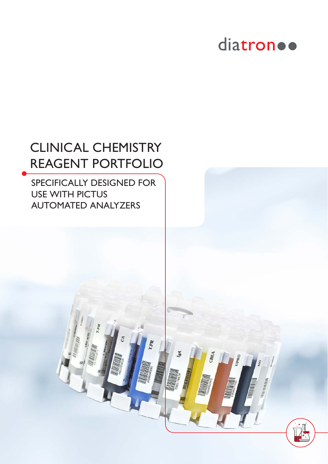## diatron ..

### CLINICAL CHEMISTRY REAGENT PORTFOLIO

SPECIFICALLY DESIGNED FOR USE WITH PICTUS AUTOMATED ANALYZERS

T.PR

CREA

OBEC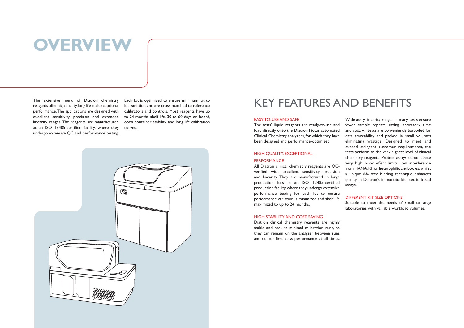## **OVERVIEW**

The extensive menu of Diatron chemistry reagents offer high quality, long life and exceptional performance. The applications are designed with excellent sensitivity, precision and extended linearity ranges. The reagents are manufactured at an ISO 13485-certified facility, where they undergo extensive QC and performance testing.

#### HIGH QUALITY, EXCEPTIONAL **PERFORMANCE**

Each lot is optimized to ensure minimum lot to lot variation and are cross matched to reference calibrators and controls. Most reagents have up to 24 months shelf life, 30 to 60 days on-board, open container stability and long life calibration curves.



#### EASY-TO-USE AND SAFE

The tests' liquid reagents are ready-to-use and load directly onto the Diatron Pictus automated Clinical Chemistry analyzers, for which they have been designed and performance-optimized.

All Diatron clinical chemistry reagents are QCverified with excellent sensitivity, precision and linearity. They are manufactured in large production lots in an ISO 13485-certified production facility, where they undergo extensive performance testing for each lot to ensure performance variation is minimized and shelf life maximized to up to 24 months.

### HIGH STABILITY AND COST SAVING

Diatron clinical chemistry reagents are highly stable and require minimal calibration runs, so they can remain on the analyzer between runs and deliver first class performance at all times.

Wide assay linearity ranges in many tests ensure fewer sample repeats, saving laboratory time and cost. All tests are conveniently barcoded for data traceability and packed in small volumes eliminating wastage. Designed to meet and exceed stringent customer requirements, the tests perform to the very highest level of clinical chemistry reagents. Protein assays demonstrate very high hook effect limits, low interference from HAMA, RF or heterophilic antibodies, whilst a unique Ab-latex binding technique enhances quality in Diatron's immunoturbidimetric based assays.

#### DIFFERENT KIT SIZE OPTIONS

Suitable to meet the needs of small to large laboratories with variable workload volumes.

### KEY FEATURES AND BENEFITS